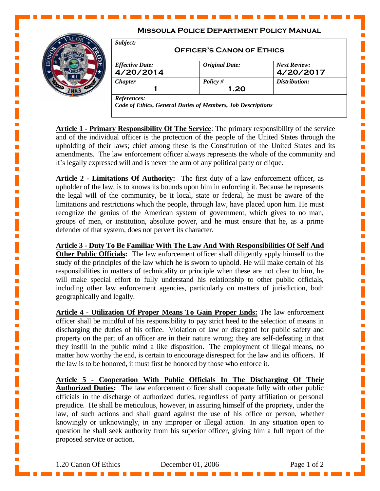## **Missoula Police Department Policy Manual**



| Subject:<br><b>OFFICER'S CANON OF ETHICS</b> |                       |                                  |
|----------------------------------------------|-----------------------|----------------------------------|
| <b>Effective Date:</b><br>4/20/2014          | <b>Original Date:</b> | <b>Next Review:</b><br>4/20/2017 |
| <b>Chapter</b>                               | Policy $#$            | Distribution:                    |
|                                              | 1.20                  |                                  |

**Article 1 - Primary Responsibility Of The Service**: The primary responsibility of the service and of the individual officer is the protection of the people of the United States through the upholding of their laws; chief among these is the Constitution of the United States and its amendments. The law enforcement officer always represents the whole of the community and it's legally expressed will and is never the arm of any political party or clique.

**Article 2 - Limitations Of Authority:** The first duty of a law enforcement officer, as upholder of the law, is to knows its bounds upon him in enforcing it. Because he represents the legal will of the community, be it local, state or federal, he must be aware of the limitations and restrictions which the people, through law, have placed upon him. He must recognize the genius of the American system of government, which gives to no man, groups of men, or institution, absolute power, and he must ensure that he, as a prime defender of that system, does not pervert its character.

**Article 3 - Duty To Be Familiar With The Law And With Responsibilities Of Self And Other Public Officials:** The law enforcement officer shall diligently apply himself to the study of the principles of the law which he is sworn to uphold. He will make certain of his responsibilities in matters of technicality or principle when these are not clear to him, he will make special effort to fully understand his relationship to other public officials, including other law enforcement agencies, particularly on matters of jurisdiction, both geographically and legally.

**Article 4 - Utilization Of Proper Means To Gain Proper Ends:** The law enforcement officer shall be mindful of his responsibility to pay strict heed to the selection of means in discharging the duties of his office. Violation of law or disregard for public safety and property on the part of an officer are in their nature wrong; they are self-defeating in that they instill in the public mind a like disposition. The employment of illegal means, no matter how worthy the end, is certain to encourage disrespect for the law and its officers. If the law is to be honored, it must first be honored by those who enforce it.

**Article 5 - Cooperation With Public Officials In The Discharging Of Their Authorized Duties:** The law enforcement officer shall cooperate fully with other public officials in the discharge of authorized duties, regardless of party affiliation or personal prejudice. He shall be meticulous, however, in assuring himself of the propriety, under the law, of such actions and shall guard against the use of his office or person, whether knowingly or unknowingly, in any improper or illegal action. In any situation open to question he shall seek authority from his superior officer, giving him a full report of the proposed service or action.

 $\blacksquare$ 

 $\blacksquare$ 

П

 $\blacksquare$ 

 $\blacksquare$ 

П

 $\blacksquare$ 

п